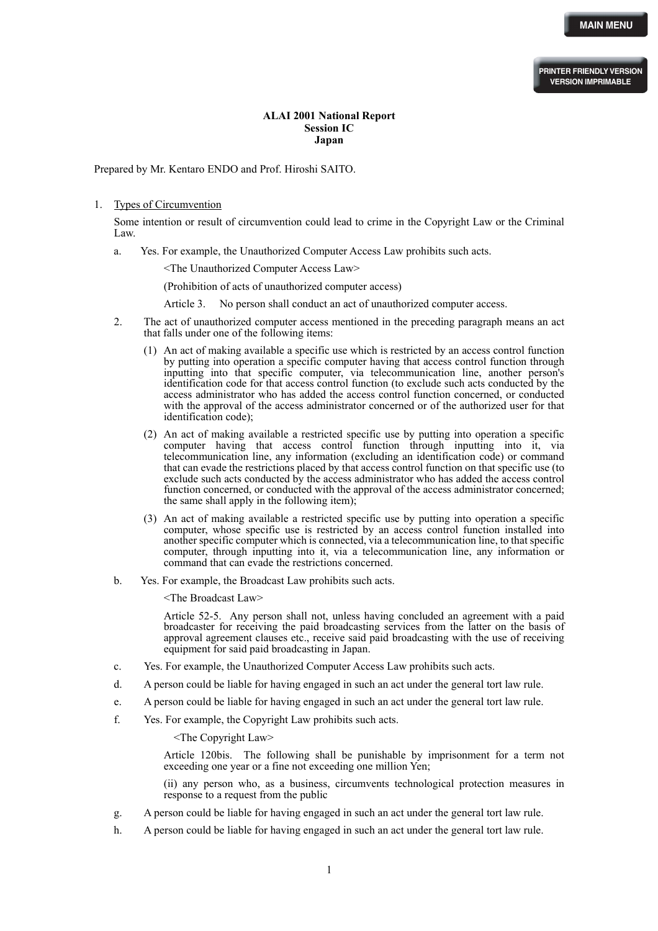## **ALAI 2001 National Report Session IC Japan**

Prepared by Mr. Kentaro ENDO and Prof. Hiroshi SAITO.

## 1. Types of Circumvention

Some intention or result of circumvention could lead to crime in the Copyright Law or the Criminal Law.

a. Yes. For example, the Unauthorized Computer Access Law prohibits such acts.

<The Unauthorized Computer Access Law>

(Prohibition of acts of unauthorized computer access)

Article 3. No person shall conduct an act of unauthorized computer access.

- 2. The act of unauthorized computer access mentioned in the preceding paragraph means an act that falls under one of the following items:
	- (1) An act of making available a specific use which is restricted by an access control function by putting into operation a specific computer having that access control function through inputting into that specific computer, via telecommunication line, another person's identification code for that access control function (to exclude such acts conducted by the access administrator who has added the access control function concerned, or conducted with the approval of the access administrator concerned or of the authorized user for that identification code);
	- (2) An act of making available a restricted specific use by putting into operation a specific computer having that access control function through inputting into it, via telecommunication line, any information (excluding an identification code) or command that can evade the restrictions placed by that access control function on that specific use (to exclude such acts conducted by the access administrator who has added the access control function concerned, or conducted with the approval of the access administrator concerned; the same shall apply in the following item);
	- (3) An act of making available a restricted specific use by putting into operation a specific computer, whose specific use is restricted by an access control function installed into another specific computer which is connected, via a telecommunication line, to that specific computer, through inputting into it, via a telecommunication line, any information or command that can evade the restrictions concerned.
- b. Yes. For example, the Broadcast Law prohibits such acts.

<The Broadcast Law>

Article 52-5. Any person shall not, unless having concluded an agreement with a paid broadcaster for receiving the paid broadcasting services from the latter on the basis of approval agreement clauses etc., receive said paid broadcasting with the use of receiving equipment for said paid broadcasting in Japan.

- c. Yes. For example, the Unauthorized Computer Access Law prohibits such acts.
- d. A person could be liable for having engaged in such an act under the general tort law rule.
- e. A person could be liable for having engaged in such an act under the general tort law rule.
- f. Yes. For example, the Copyright Law prohibits such acts.

<The Copyright Law>

Article 120bis. The following shall be punishable by imprisonment for a term not exceeding one year or a fine not exceeding one million Yen;

(ii) any person who, as a business, circumvents technological protection measures in response to a request from the public

- g. A person could be liable for having engaged in such an act under the general tort law rule.
- h. A person could be liable for having engaged in such an act under the general tort law rule.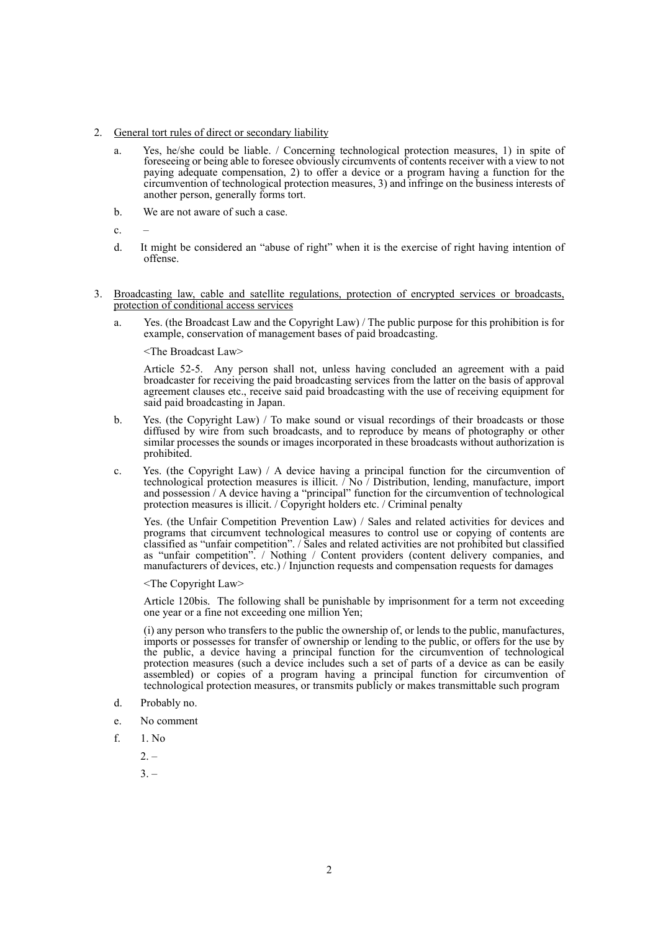- 2. General tort rules of direct or secondary liability
	- a. Yes, he/she could be liable. / Concerning technological protection measures, 1) in spite of foreseeing or being able to foresee obviously circumvents of contents receiver with a view to not paying adequate compensation, 2) to offer a device or a program having a function for the circumvention of technological protection measures, 3) and infringe on the business interests of another person, generally forms tort.
	- b. We are not aware of such a case.
	- $\mathbf{c}$ .
	- d. It might be considered an "abuse of right" when it is the exercise of right having intention of offense.
- 3. Broadcasting law, cable and satellite regulations, protection of encrypted services or broadcasts, protection of conditional access services
	- a. Yes. (the Broadcast Law and the Copyright Law) / The public purpose for this prohibition is for example, conservation of management bases of paid broadcasting.

<The Broadcast Law>

Article 52-5. Any person shall not, unless having concluded an agreement with a paid broadcaster for receiving the paid broadcasting services from the latter on the basis of approval agreement clauses etc., receive said paid broadcasting with the use of receiving equipment for said paid broadcasting in Japan.

- b. Yes. (the Copyright Law) / To make sound or visual recordings of their broadcasts or those diffused by wire from such broadcasts, and to reproduce by means of photography or other similar processes the sounds or images incorporated in these broadcasts without authorization is prohibited.
- c. Yes. (the Copyright Law) / A device having a principal function for the circumvention of technological protection measures is illicit. / No / Distribution, lending, manufacture, import and possession / A device having a "principal" function for the circumvention of technological protection measures is illicit. / Copyright holders etc. / Criminal penalty

Yes. (the Unfair Competition Prevention Law) / Sales and related activities for devices and programs that circumvent technological measures to control use or copying of contents are classified as "unfair competition". / Sales and related activities are not prohibited but classified as "unfair competition". / Nothing / Content providers (content delivery companies, and manufacturers of devices, etc.) / Injunction requests and compensation requests for damages

<The Copyright Law>

Article 120bis. The following shall be punishable by imprisonment for a term not exceeding one year or a fine not exceeding one million Yen;

(i) any person who transfers to the public the ownership of, or lends to the public, manufactures, imports or possesses for transfer of ownership or lending to the public, or offers for the use by the public, a device having a principal function for the circumvention of technological protection measures (such a device includes such a set of parts of a device as can be easily assembled) or copies of a program having a principal function for circumvention of technological protection measures, or transmits publicly or makes transmittable such program

- d. Probably no.
- e. No comment
- f. 1. No
	- $2. -$
	- $3. -$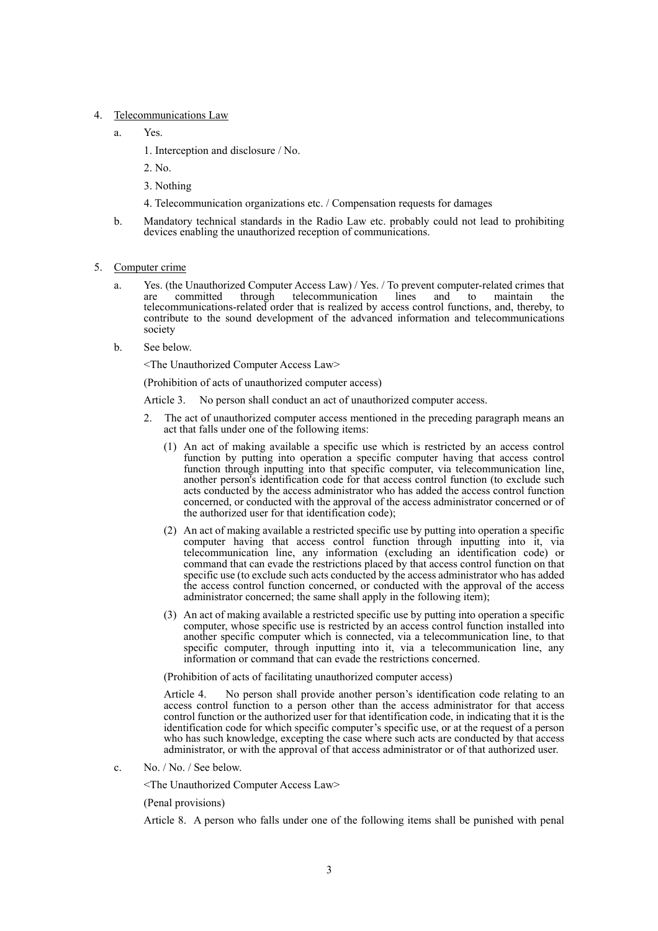- 4. Telecommunications Law
	- a. Yes.
		- 1. Interception and disclosure / No.
		- 2. No.
		- 3. Nothing
		- 4. Telecommunication organizations etc. / Compensation requests for damages
	- b. Mandatory technical standards in the Radio Law etc. probably could not lead to prohibiting devices enabling the unauthorized reception of communications.
- 5. Computer crime
	- Yes. (the Unauthorized Computer Access Law) / Yes. / To prevent computer-related crimes that are committed through telecommunication lines and to maintain the are committed through telecommunication lines and to maintain the telecommunications-related order that is realized by access control functions, and, thereby, to contribute to the sound development of the advanced information and telecommunications society
	- b. See below.

<The Unauthorized Computer Access Law>

(Prohibition of acts of unauthorized computer access)

Article 3. No person shall conduct an act of unauthorized computer access.

- 2. The act of unauthorized computer access mentioned in the preceding paragraph means an act that falls under one of the following items:
	- (1) An act of making available a specific use which is restricted by an access control function by putting into operation a specific computer having that access control function through inputting into that specific computer, via telecommunication line, another person's identification code for that access control function (to exclude such acts conducted by the access administrator who has added the access control function concerned, or conducted with the approval of the access administrator concerned or of the authorized user for that identification code);
	- (2) An act of making available a restricted specific use by putting into operation a specific computer having that access control function through inputting into it, via telecommunication line, any information (excluding an identification code) or command that can evade the restrictions placed by that access control function on that specific use (to exclude such acts conducted by the access administrator who has added the access control function concerned, or conducted with the approval of the access administrator concerned; the same shall apply in the following item);
	- (3) An act of making available a restricted specific use by putting into operation a specific computer, whose specific use is restricted by an access control function installed into another specific computer which is connected, via a telecommunication line, to that specific computer, through inputting into it, via a telecommunication line, any information or command that can evade the restrictions concerned.

(Prohibition of acts of facilitating unauthorized computer access)

Article 4. No person shall provide another person's identification code relating to an access control function to a person other than the access administrator for that access control function or the authorized user for that identification code, in indicating that it is the identification code for which specific computer's specific use, or at the request of a person who has such knowledge, excepting the case where such acts are conducted by that access administrator, or with the approval of that access administrator or of that authorized user.

c. No. / No. / See below.

<The Unauthorized Computer Access Law>

(Penal provisions)

Article 8. A person who falls under one of the following items shall be punished with penal